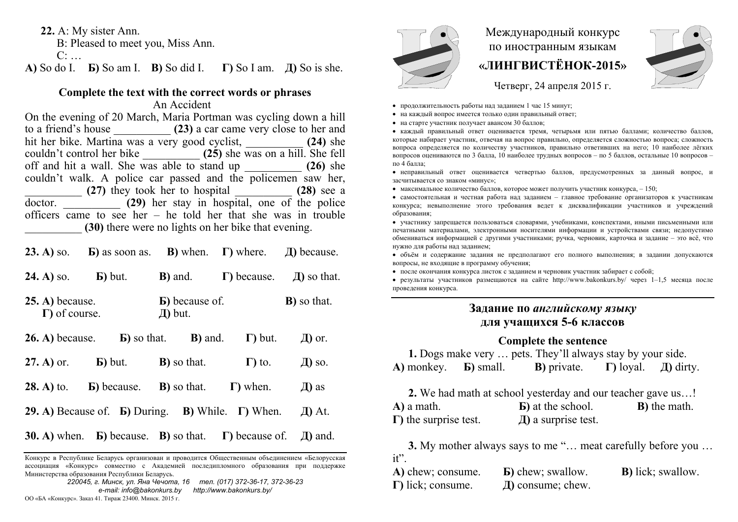**22.** A: My sister Ann.

B: Pleased to meet you, Miss Ann.

 $C^{\cdot}$ 

**А)** So do I. **Б)** So am I. **В)** So did I. **Г)** So I am. **Д)** So is she.

#### **Complete the text with the correct words or phrases**

An Accident

On the evening of 20 March, Maria Portman was cycling down a hill to a friend's house \_\_\_\_\_\_\_\_\_\_ **(23)** a car came very close to her and hit her bike. Martina was a very good cyclist, \_\_\_\_\_\_\_\_\_\_ **(24)** she couldn't control her bike \_\_\_\_\_\_\_\_\_\_ **(25)** she was on a hill. She fell off and hit a wall. She was able to stand up  $(26)$  she couldn't walk. A police car passed and the policemen saw her, \_\_\_\_\_\_\_\_\_\_ **(27)** they took her to hospital \_\_\_\_\_\_\_\_\_\_ **(28)** see a doctor. **1983 (29)** her stay in hospital, one of the police officers came to see her – he told her that she was in trouble \_\_\_\_\_\_\_\_\_\_ **(30)** there were no lights on her bike that evening.

| $(23. A)$ so.                              | <b>b</b> ) as soon as.                                                          | <b>B</b> ) when.                     | $\Gamma$ ) where.      | $\pi$ ) because.    |
|--------------------------------------------|---------------------------------------------------------------------------------|--------------------------------------|------------------------|---------------------|
| $24. A)$ so.                               | $\mathbf{E}$ ) but.                                                             | <b>B</b> ) and.                      | $\Gamma$ ) because.    | $\pi$ so that.      |
| $25. A)$ because.<br>$\Gamma$ ) of course. |                                                                                 | <b>B</b> ) because of.<br>$\pi$ but. |                        | <b>B</b> ) so that. |
| $26. A)$ because.                          | <b>b</b> ) so that.                                                             | <b>B</b> ) and.                      | $\Gamma$ ) but.        | $\pi$ ) or.         |
| $27. A)$ or.                               | $\mathbf{E}$ ) but.                                                             | <b>B</b> ) so that.                  | $\Gamma$ ) to.         | $\pi$ so.           |
| $28. A)$ to.                               | <b>B</b> ) because.                                                             | <b>B</b> ) so that.                  | $\Gamma$ ) when.       | $\pi$ ) as          |
|                                            | <b>29.</b> A) Because of. <b>b</b> ) During. <b>B</b> ) While. $\Gamma$ ) When. |                                      |                        | $\pi$ At.           |
|                                            | <b>30.</b> A) when. $\bf{E}$ ) because. $\bf{B}$ ) so that.                     |                                      | $\Gamma$ ) because of. | $\mu$ ) and.        |

Конкурс <sup>в</sup> Республике Беларусь организован <sup>и</sup> проводится Общественным объединением «Белорусская ассоциация «Конкурс» совместно <sup>с</sup> Академией последипломного образования при поддержке Министерства образования Республики Беларусь.





# Международный конкурс по иностранным языкам **«ЛИНГВИСТЁНОК-2015»**



Четверг, 24 апреля 2015 г.

- продолжительность работы над заданием 1 час 15 минут;
- на каждый вопрос имеется только один правильный ответ;
- на старте участник получает авансом 30 баллов;

 каждый правильный ответ оценивается тремя, четырьмя или пятью баллами; количество баллов, которые набирает участник, отвечая на вопрос правильно, определяется сложностью вопроса; сложность вопроса определяется по количеству участников, правильно ответивших на него; 10 наиболее лёгких вопросов оцениваются по 3 балла, 10 наиболее трудных вопросов – по 5 баллов, остальные 10 вопросов – по 4 балла;

 неправильный ответ оценивается четвертью баллов, предусмотренных за данный вопрос, <sup>и</sup> засчитывается со знаком «минус»;

• максимальное количество баллов, которое может получить участник конкурса,  $-150$ ;

 самостоятельная и честная работа над заданием – главное требование организаторов <sup>к</sup> участникам конкурса; невыполнение этого требования ведет <sup>к</sup> дисквалификации участников <sup>и</sup> учреждений образования;

 участнику запрещается пользоваться словарями, учебниками, конспектами, иными письменными или печатными материалами, электронными носителями информации <sup>и</sup> устройствами связи; недопустимо обмениваться информацией <sup>с</sup> другими участниками; ручка, черновик, карточка <sup>и</sup> задание – это всё, что нужно для работы над заданием;

 объём <sup>и</sup> содержание задания не предполагают его полного выполнения; <sup>в</sup> задании допускаются вопросы, не входящие <sup>в</sup> программу обучения;

после окончания конкурса листок <sup>с</sup> заданием <sup>и</sup> черновик участник забирает <sup>с</sup> собой;

 результаты участников размещаются на сайте http://www.bakonkurs.by/ через 1–1,5 месяца после проведения конкурса.

## **Задание по** *английскому языку* **для учащихся 5-6 классов**

#### **Complete the sentence**

**1.** Dogs make very … pets. They'll always stay by your side. **A**) monkey. **b**) small. **B**) private.  $\Gamma$ ) loyal. *Д***) dirty.** 

**2.** We had math at school yesterday and our teacher gave us…! **А)** a math. **Б)** at the school. **В)** the math. **Г)** the surprise test. **Д)** a surprise test.

**3.** My mother always says to me "… meat carefully before you … it".

| A) chew; consume.         | <b>b</b> ) chew; swallow. | <b>B</b> ) lick; swallow. |
|---------------------------|---------------------------|---------------------------|
| $\Gamma$ ) lick; consume. | $\pi$ ) consume; chew.    |                           |